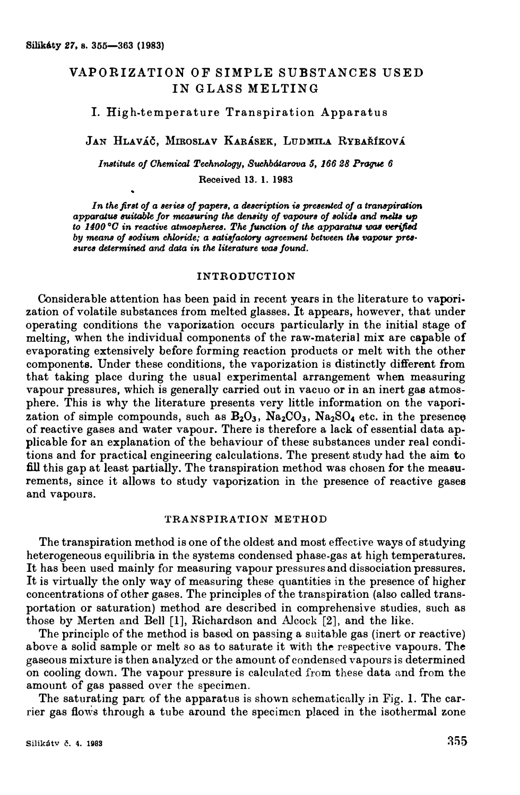# VAPORIZATION OF SIMPLE SUBSTANCES USED IN GLASS MELTING

### I. Hig h-temperature Transpiration Apparatus

# JAN HLAVÁČ, MIROSLAV KARÁSEK, LUDMILA RYBAŘÍKOVÁ

*Institute oj Ohemical Technology, Suchbátarova \$, 166 28 Prague 6*  Received **13. 1. <sup>1983</sup>**

In the first of a series of papers, a description is presented of a transpiration *apparatua au.itabk Jor measuring the density oj vapours oj solid• and mel.la up to 1400°C in reactive atmospheres. The function of the apparatus was verified* by means of sodium chloride; a satisfactory agreement between the vapour pres*aurea determined and data in* **the** *literature was jound.* 

### **INTRODUCTION**

Considerable attention has been paid in recent years in the literature to vaporization of volatile substances from melted glasses. It appears, however, that under operating conditions the vaporization occurs particularly in the initial stage of melting, when the individual components of the raw-material mix are capable of evaporating extensively before forming reaction products or melt with the other components. Under these conditions, the vaporization is distinctly different from that taking place during the usual experimental arrangement when measuring vapour pressures, which is generally carried out in vacuo or in an inert gas atmosphere. This is why the literature presents very little information on the vaporization of simple compounds, such as  $B_2O_3$ ,  $Na_2CO_3$ ,  $Na_2SO_4$  etc. in the presence of reactive gases and water vapour. There is therefore a lack of essential data applicable for an explanation of the behaviour of these substances under real conditions and for practical engineering calculations. The present study had the aim to fill this gap at least partially. The transpiration method was chosen for the meaeurements, since it allows to study vaporization in the presence of reactive gases and vapours.

### **TRANSPIRATION METHOD**

The transpiration method is one of the oldest and most effective ways of studying heterogeneous equilibria in the systems condensed phase-gas at high temperatures. It has been used mainly for measuring vapour pressures and dissociation pressures. It is virtually the only way of measuring these quantities in the presence of higher concentrations of other gases. The principles of the transpiration (also called transportation or saturation) method are described in comprehensive studies, such as those by Merten and Bell [l], Richardson and Alcock [2], and the like.

The principle of the method is based on passing a suitable gas (inert or reactive) above a solid sample or melt so as to saturate it with the respective vapours. The gaseous mixture is then analyzed or the amount of condensed vapours is determined on cooling down. The vapour pressure is calculated from these data and from the amount of gas passed over the specimen.

The saturating part of the apparatus is shown schematically in Fig. 1. The carrier gas flows through a tube around the specimen placed in the isothermal zone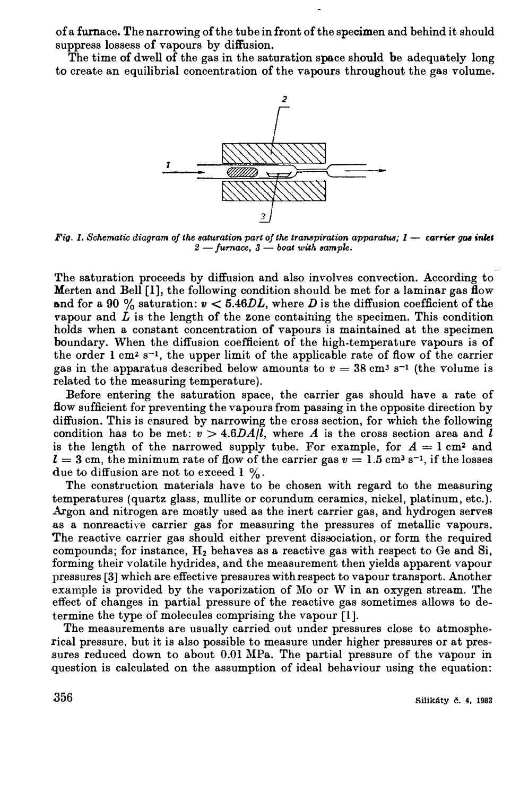of a furnace. The narrowing of the tu be in front of the specimen and behind it should suppress lossess of vapours by diffusion.

The time of dwell of the gas in the saturation space should be adequately long to create an equilibrial concentration of the vapours throughout the gas volume.



*Fig. 1. Schematic diagram of the saturation part of the transpiration apparatus; 1 - carrier gas inlet 2 -furnace, 3 - boat with aample.* 

The saturation proceeds by diffusion and also involves convection. According to Merten and Bell  $[1]$ , the following condition should be met for a laminar gas flow and for a 90 % saturation:  $v < 5.46DL$ , where D is the diffusion coefficient of the vapour and  $L$  is the length of the zone containing the specimen. This condition holds when a constant concentration of vapours is maintained at the specimen boundary. When the diffusion coefficient of the high.temperature vapours is of the order  $1 \text{ cm}^2 \text{ s}^{-1}$ , the upper limit of the applicable rate of flow of the carrier gas in the apparatus described below amounts to  $v = 38 \text{ cm}^3 \text{ s}^{-1}$  (the volume is related to the measuring temperature).

Before entering the saturation space, the carrier gas should have a rate of How sufficient for preventing the vapours from passing in the opposite direction by diffusion. This is ensured by narrowing the cross section, for whioh the following condition has to be met:  $v > 4.6DA/l$ , where *A* is the cross section area and *l* is the length of the narrowed supply tube. For example, for  $A = 1$  cm<sup>2</sup> and  $l=3$  cm, the minimum rate of flow of the carrier gas  $v=1.5$  cm<sup>3</sup> s<sup>-1</sup>, if the losses due to diffusion are not to exceed  $1\%$ .

The construction materials have to be chosen with regard to the measuring temperatures (quartz glass, mullite or corundum ceramics, nickel, platinum, etc.). Argon and nitrogen are mostly used as the inert carrier gas, and hydrogen serves as a nonreactive carrier gas for measuring the pressures of metallic vapours. The reactive carrier gas should either prevent dissociation, or form the required compounds; for instance, H**2** behaves as a reactive gas with respect to Ge and Si, forming their volatile hydrides, and the measurement then yields apparent vapour pressures **[3]** which are effective pressures withrespect to vapour transport. Another example is provided by the vaporization of Mo or W in an oxygen stream. The effect of changes in partial pressure of the reactive gas sometimes allows to determine the type of molecules comprising the vapour [l].

The measurements are usually carried out under pressures close to atmospherical pressure, but it is also possible to measure under higher pressures or at pressures reduced down to about 0.01 MPa. The partial pressure of the vapour in question is calculated on the assumption of ideal behaviour using the equation: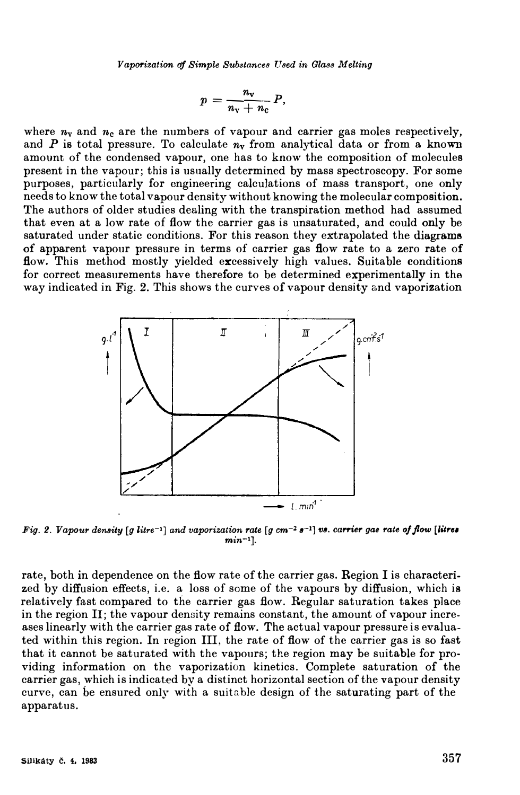Vaporization of Simple Substances Used in Glass Melting

$$
p=\frac{n_{\rm v}}{n_{\rm v}+n_{\rm c}}P,
$$

where  $n_v$  and  $n_c$  are the numbers of vapour and carrier gas moles respectively, and P is total pressure. To calculate  $n_{\rm v}$  from analytical data or from a known amount of the condensed vapour, one has to know the composition of molecules present in the vapour; this is usually determined by mass spectroscopy. For some purposes, particularly for engineering calculations of mass transport, one only needs to know the total vapour density without knowing the molecular composition. The authors of older studies dealing with the transpiration method had assumed that even at a low rate of flow the carrier gas is unsaturated, and could only be saturated under static conditions. For this reason they extrapolated the diagrams of apparent vapour pressure in terms of carrier gas flow rate to a zero rate of flow. This method mostly yielded excessively high values. Suitable conditions for correct measurements have therefore to be determined experimentally in the way indicated in Fig. 2. This shows the curves of vapour density and vaporization



Fig. 2. Vapour density [g litre<sup>-1</sup>] and vaporization rate [g cm<sup>-2</sup>  $s^{-1}$ ] vs. carrier gas rate of flow [litres  $min^{-1}$ .

rate, both in dependence on the flow rate of the carrier gas. Region I is characterized by diffusion effects, i.e. a loss of some of the vapours by diffusion, which is relatively fast compared to the carrier gas flow. Regular saturation takes place in the region II; the vapour density remains constant, the amount of vapour increases linearly with the carrier gas rate of flow. The actual vapour pressure is evaluated within this region. In region III, the rate of flow of the carrier gas is so fast that it cannot be saturated with the vapours; the region may be suitable for providing information on the vaporization kinetics. Complete saturation of the carrier gas, which is indicated by a distinct horizontal section of the vapour density curve, can be ensured only with a suitable design of the saturating part of the apparatus.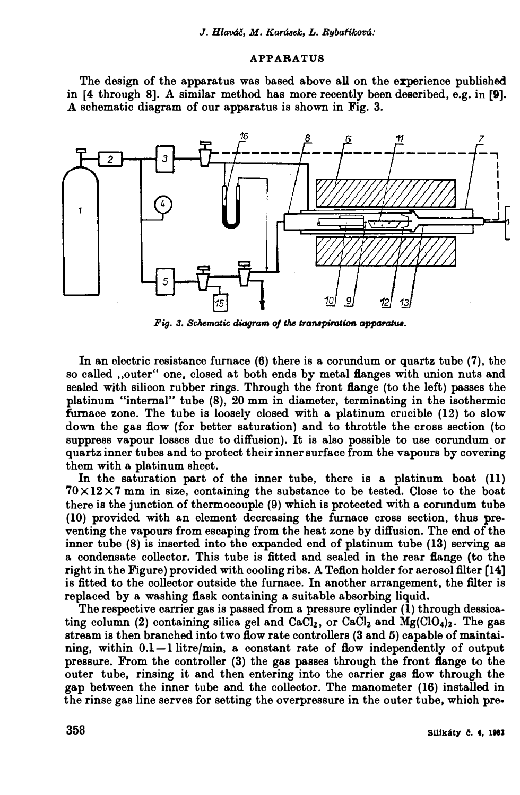### APPABATUS

The design of the apparatus was based above all on the experience published **in [4 through 8].** *A* **similar method has more recently been described, e.g. in [9].**  A schematic diagram of our apparatus is shown in Fig. 3.



*Fig. 3. Schematic diagram of the transpiration apparatus.* 

In an electric resistance furnace (6) there is a corundum or quartz tube (7), the so called .<sub></sub>outer" one, closed at both ends by metal **flanges** with union nuts and sealed with silicon rubber rings. Through the front flange (to the left) passes the **platinum "internal" tube (8), 20 mm in diameter, terminating in the isothermic fumace zone. The tube is loosely closed with a platinum crucible (12) to slow down the gas flow (for better saturation) and to throttle the cross section (to suppress vapour losses due to diffusion). It is also possible to use corundum or**  quartz inner tubes and to protect their inner surface from the vapours by covering them with a platinum sheet.

In the saturation part of the inner tube, there is a platinum boat (11) **70** x **12 X 7 mm in size, containing the substance to be tested. Close to the boat there is the junction of thermocouple (9) which is protected with a. corundum tube (10) provided with a.n element decreasing the furnace cross section, thus pre**venting the vapours from escaping from the heat zone by diffusion. The end of the inner tube (8) is inserted into the expanded end of platinum tube (13) serving as **a condensate collector. This tube is fitted and sealed in the rear flange (to the right in the Figure) provided with cooling ribs. A Teflon holder for aerosol filter (14]** is fitted to the collector outside the furnace. In another arrangement, the filter is replaced by a washing flask containing a suitable absorbing liquid.

**The respective carrier gas is passed from a pressure cylinder (l) through dessica** $t$ ing column (2) containing silica gel and CaCl<sub>2</sub>, or CaCl<sub>2</sub> and Mg(ClO<sub>4</sub>)<sub>2</sub>. The gas stream is then branched into two flow rate controllers (3 and 5) capable of maintaining, within  $0.1-1$  litre/min, a constant rate of flow independently of output **pressure.** From the controller (3) the gas passes through the front flange to the outer tube, rinsing it and then entering into the carrier gas flow through the gap between the inner tube and the collector. The manometer (16) installed in **the rinse gas line serves for setting the overpressure in the outer tube, whioh pre.**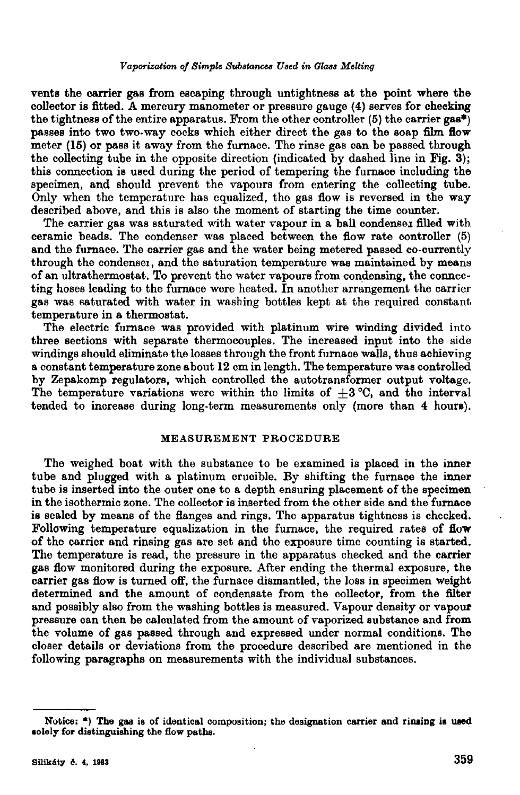#### Vaporization of Simple Substances Used in Glass Melting

vents the carrier gas from escaping through untightness at the point where the collector is fitted. A mercury manometer or pressure gauge (4) serves for checking the tightness of the entire apparatus. From the other controller (5) the carrier gas<sup>\*</sup>) passes into two two-way cocks which either direct the gas to the soap film flow meter (15) or pass it away from the furnace. The rinse gas can be passed through the collecting tube in the opposite direction (indicated by dashed line in Fig. 3); this connection is used during the period of tempering the furnace including the specimen, and should prevent the vapours from entering the collecting tube. Only when the temperature has equalized, the gas flow is reversed in the way described above, and this is also the moment of starting the time counter.

The carrier gas was saturated with water vapour in a ball condenser filled with ceramic beads. The condenser was placed between the flow rate controller  $(5)$ and the furnace. The carrier gas and the water being metered passed co-currently through the condenser, and the saturation temperature was maintained by means of an ultrathermostat. To prevent the water vapours from condensing, the connecting hoses leading to the furnace were heated. In another arrangement the carrier gas was saturated with water in washing bottles kept at the required constant temperature in a thermostat.

The electric furnace was provided with platinum wire winding divided into three sections with separate thermocouples. The increased input into the side windings should eliminate the losses through the front furnace walls, thus achieving a constant temperature zone about 12 cm in length. The temperature was controlled by Zepakomp regulators, which controlled the autotransformer output voltage. The temperature variations were within the limits of  $\pm 3$  °C, and the interval tended to increase during long-term measurements only (more than 4 hours).

#### MEASUREMENT PROCEDURE

The weighed boat with the substance to be examined is placed in the inner tube and plugged with a platinum crucible. By shifting the furnace the inner tube is inserted into the outer one to a depth ensuring placement of the specimen in the isothermic zone. The collector is inserted from the other side and the furnace is sealed by means of the flanges and rings. The apparatus tightness is checked. Following temperature equalization in the furnace, the required rates of flow of the carrier and rinsing gas are set and the exposure time counting is started. The temperature is read, the pressure in the apparatus checked and the carrier gas flow monitored during the exposure. After ending the thermal exposure, the carrier gas flow is turned off, the furnace dismantled, the loss in specimen weight determined and the amount of condensate from the collector, from the filter and possibly also from the washing bottles is measured. Vapour density or vapour pressure can then be calculated from the amount of vaporized substance and from the volume of gas passed through and expressed under normal conditions. The closer details or deviations from the procedure described are mentioned in the following paragraphs on measurements with the individual substances.

Notice: \*) The gas is of identical composition; the designation carrier and rinsing is used solely for distinguishing the flow paths.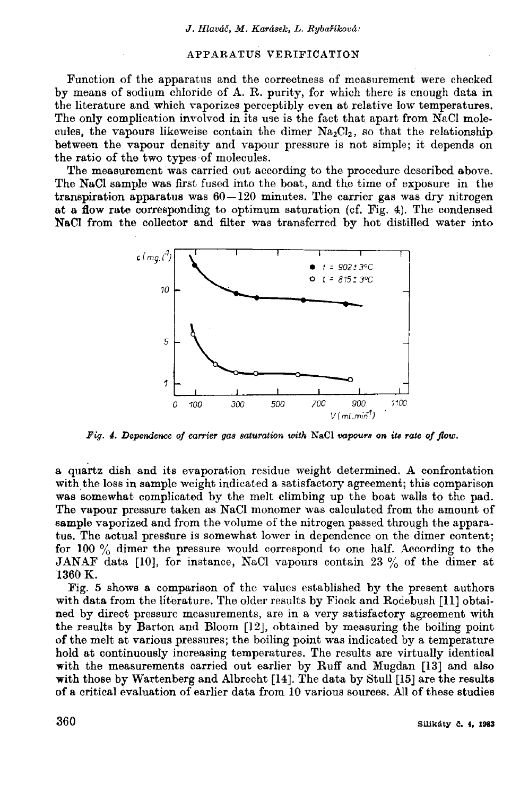# APPARATUS VERIFICATION

Function of the apparatus and the correctness of measurement were checked by means of sodium chloride of A. R. purity, for which there is enough data in the literature and which vaporizes perceptibly even at relative low temperatures. The only complication involved in its use is the fact that apart from NaCl molecules, the vapours likeweise contain the dimer  $Na<sub>2</sub>Cl<sub>2</sub>$ , so that the relationship between the vapour density and vapour pressure is not simple; it depends on the ratio of the two types of molecules.

The measurement was carried out according to the procedure described above. The NaCl sample was first fused into the boat, and the time of exposure in the transpiration apparatus was 60-120 minutes. The carrier gas was dry nitrogen at a flow rate corresponding to optimum saturation (cf. Fig. 4). The condensed NaCl from the collector and filter was transferred by hot distilled water into



Fig. 4. Dependence of carrier gas saturation with NaCl vapours on its rate of flow.

a quartz dish and its evaporation residue weight determined. A confrontation with the loss in sample weight indicated a satisfactory agreement; this comparison was somewhat complicated by the melt climbing up the boat walls to the pad. The vapour pressure taken as NaCl monomer was calculated from the amount of sample vaporized and from the volume of the nitrogen passed through the apparatus. The actual pressure is somewhat lower in dependence on the dimer content; for 100  $\%$  dimer the pressure would correspond to one half. According to the JANAF data [10], for instance, NaCl vapours contain 23 % of the dimer at 1360 K.

Fig. 5 shows a comparison of the values established by the present authors with data from the literature. The older results by Fiock and Rodebush [11] obtained by direct pressure measurements, are in a very satisfactory agreement with the results by Barton and Bloom [12], obtained by measuring the boiling point of the melt at various pressures; the boiling point was indicated by a temperature hold at continuously increasing temperatures. The results are virtually identical with the measurements carried out earlier by Ruff and Mugdan [13] and also with those by Wartenberg and Albrecht [14]. The data by Stull [15] are the results of a critical evaluation of earlier data from 10 various sources. All of these studies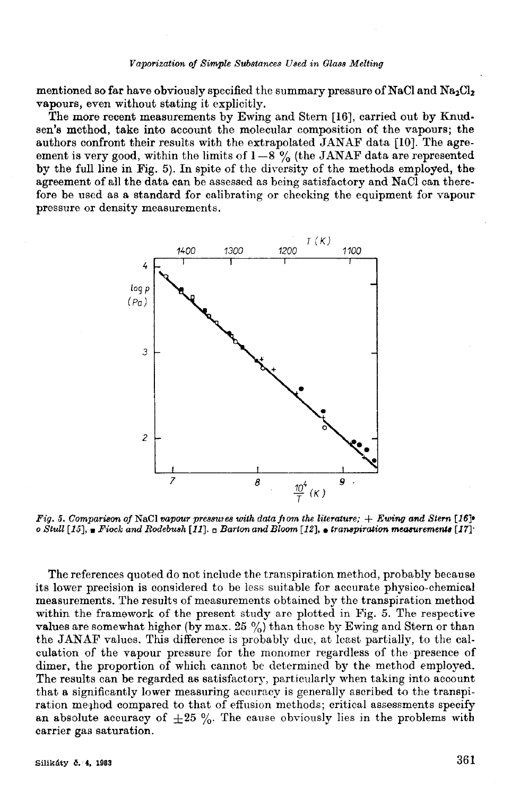mentioned so far have obviously specified the summary pressure of NaCl and  $Na_2Cl_2$ vapours, even without stating it explicitly.

The more recent measurements by Ewing and Stern [16], carried out by Knudsen's method, take into account the molecular composition of the vapours; the authors confront their results with the extrapolated JANAF data [10]. The agreement is very good, within the limits of  $1-8\%$  (the JANAF data are represented by the full line in Fig. 5). In spite of the diversity of the methods employed, the agreement of all the data can be assessed as being satisfactory and NaCl can therefore be used as a standard for calibrating or checking the equipment for vapour pressure or density measurements.



Fig. 5. Comparison of NaCl vapour pressures with data from the literature;  $+$  Ewing and Stern [16]<sup>\*</sup> o Stull [15],  $\blacksquare$  Fiock and Rodebush [11].  $\blacksquare$  Barton and Bloom [12],  $\blacksquare$  transpiration measurements [17].

The references quoted do not include the transpiration method, probably because its lower precision is considered to be less suitable for accurate physico-chemical measurements. The results of measurements obtained by the transpiration method within the framework of the present study are plotted in Fig. 5. The respective values are somewhat higher (by max. 25 %) than those by Ewing and Stern or than the JANAF values. This difference is probably due, at least partially, to the calculation of the vapour pressure for the monomer regardless of the presence of dimer, the proportion of which cannot be determined by the method employed. The results can be regarded as satisfactory, particularly when taking into account that a significantly lower measuring accuracy is generally ascribed to the transpiration meghod compared to that of effusion methods; critical assessments specify an absolute accuracy of  $\pm 25$  %. The cause obviously lies in the problems with carrier gas saturation.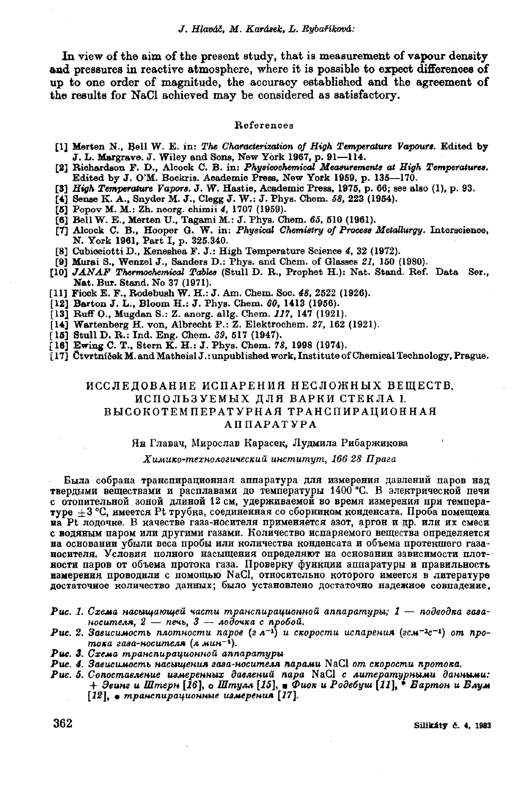In view of the aim of the present study, that is measurement of vapour density and pressures in reactive atmosphere, where it is possible to expect differences of up to one order of magnitude, the accuracy established and the agreement of the results for NaCl achieved may be considered as satisfactory.

#### References

- [1] Merten N., Bell W. E. in: The Characterization of High Temperature Vapours. Edited by J. L. Margrave. J. Wiley and Sons, New York 1967, p. 91-114.
- [2] Richardson F. D., Alcock C. B. in: Physicochemical Measurements at High Temperatures. Edited by J. O'M. Bockris. Academic Press, New York 1959, p. 135-170.
- [3] High Temperature Vapors. J. W. Hastie, Academic Press, 1975, p. 66; see also (1), p. 93.
- [4] Sense K. A., Snyder M. J., Clegg J. W.: J. Phys. Chem. 58, 223 (1954).
- [5] Popov M. M.: Zh. neorg. chimii 4, 1707 (1959).
- [6] Bell W. E., Merten U., Tagami M.: J. Phys. Chem. 65, 510 (1961).
- [7] Alcock C. B., Hooper G. W. in: Physical Chemistry of Process Metallurgy. Interscience, N. York 1961, Part I, p. 325.340.
- [8] Cubiociotti D., Keneshea F. J.: High Temperature Science 4, 32 (1972).
- [9] Murai S., Wenzel J., Sanders D.: Phys. and Chem. of Glasses 21, 150 (1980).
- [10] JANAF Thermochemical Tables (Stull D. R., Prophet H.): Nat. Stand. Ref. Data Ser., Nat. Bur. Stand. No 37 (1971).
- [11] Fiock E. F., Rodebush W. H.: J. Am. Chem. Soc. 48, 2522 (1926).
- [12] Barton J. L., Bloom H.: J. Phys. Chem. 60, 1413 (1956).
- [13] Ruff O., Mugdan S.: Z. anorg. allg. Chem. 117, 147 (1921).
- [14] Wartenberg H. von, Albrecht P.: Z. Elektrochem. 27, 162 (1921).
- 
- [15] Stull D. R.: Ind. Eng. Chem. 39, 517 (1947).<br>[16] Ewing C. T., Stern K. H.: J. Phys. Chem. 78, 1998 (1974).
- [17] Ctvrtníček M. and Matheisl J.: unpublished work, Institute of Chemical Technology, Prague.

# ИССЛЕДОВАНИЕ ИСПАРЕНИЯ НЕСЛОЖНЫХ ВЕЩЕСТВ, ИСПОЛЬЗУЕМЫХ ДЛЯ ВАРКИ СТЕКЛА I. ВЫСОКОТЕМПЕРАТУРНАЯ ТРАНСПИРАЦИОННАЯ **АППАРАТУРА**

#### Ян Главач, Мирослав Карасек, Лудмила Рибаржикова

#### Химико-технологический институт, 166 28 Прага

Была собрана транспирационная аппаратура для измерения давлений паров над твердыми веществами и расплавами до температуры 1400 °С. В электрической печи с отопительной зоной длиной 12 см, удерживаемой во время измерения при температуре  $\pm 3$  °С, имеется Pt трубка, соединенная со сборником конденсата. Проба помещена на Рі лодочке. В качестве газа-носителя применяется азот, аргон и др. или их смеси с водяным паром или другими газами. Количество испаряемого вещества определяется на основании убыли веса пробы или количества конденсата и объема протекшего газаносителя. Условия полного насыщения определяют на основании зависимости плотности паров от объема протока газа. Проверку функции аппаратуры и правильность измерения проводили с помощью NaCl, относительно которого имеется в литературе достаточное количество данных; было установлено достаточно надежное совпадение.

- $\bm P$ ис. 1. Схема насыщающей части транспирационной аппаратуры; 1 подводка газаносителя,  $2 - n$ ечь,  $3 - n$ одочка с пробой.
- Puc. 2. Зависимость плотности паров (г л<sup>-1</sup>) и скорости испарения (гсм<sup>-2</sup>с<sup>-1</sup>) от протока газа-носителя (л мин $^{-1}$ ).
- Рис. 3. Схема транспирационной аппаратуры
- Рис. 4. Зависимость насыщения газа-носителя парами NaCl от скорости протока.
- Рис. 5. Сопоставление измеренных давлений пара NaCl с литературными данными: + Эвинг и Штерн [16], о Штулл [15], в Фиок и Родебуш [11], \* Бартон и Блум [12], • транспирационные измерения [17].